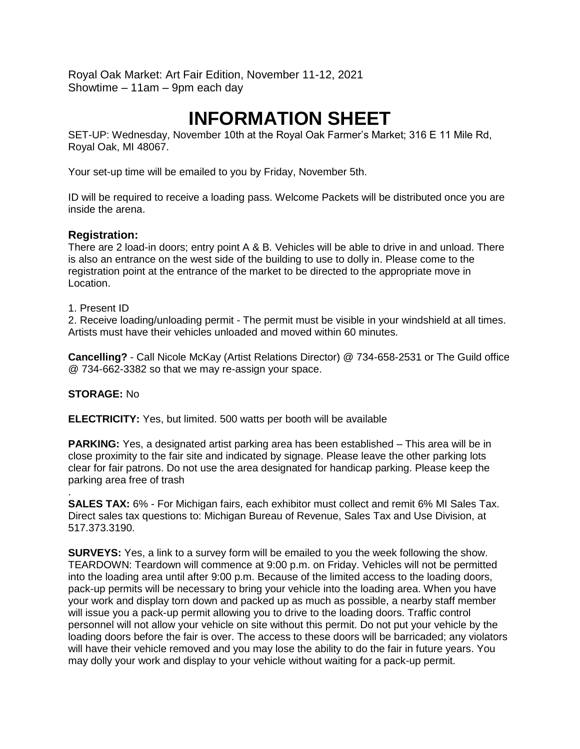Royal Oak Market: Art Fair Edition, November 11-12, 2021 Showtime – 11am – 9pm each day

# **INFORMATION SHEET**

SET-UP: Wednesday, November 10th at the Royal Oak Farmer's Market; 316 E 11 Mile Rd, Royal Oak, MI 48067.

Your set-up time will be emailed to you by Friday, November 5th.

ID will be required to receive a loading pass. Welcome Packets will be distributed once you are inside the arena.

#### **Registration:**

There are 2 load-in doors; entry point A & B. Vehicles will be able to drive in and unload. There is also an entrance on the west side of the building to use to dolly in. Please come to the registration point at the entrance of the market to be directed to the appropriate move in Location.

#### 1. Present ID

2. Receive loading/unloading permit - The permit must be visible in your windshield at all times. Artists must have their vehicles unloaded and moved within 60 minutes.

**Cancelling?** - Call Nicole McKay (Artist Relations Director) @ 734-658-2531 or The Guild office @ 734-662-3382 so that we may re-assign your space.

#### **STORAGE:** No

**ELECTRICITY:** Yes, but limited. 500 watts per booth will be available

**PARKING:** Yes, a designated artist parking area has been established – This area will be in close proximity to the fair site and indicated by signage. Please leave the other parking lots clear for fair patrons. Do not use the area designated for handicap parking. Please keep the parking area free of trash

. **SALES TAX:** 6% - For Michigan fairs, each exhibitor must collect and remit 6% MI Sales Tax. Direct sales tax questions to: Michigan Bureau of Revenue, Sales Tax and Use Division, at 517.373.3190.

**SURVEYS:** Yes, a link to a survey form will be emailed to you the week following the show. TEARDOWN: Teardown will commence at 9:00 p.m. on Friday. Vehicles will not be permitted into the loading area until after 9:00 p.m. Because of the limited access to the loading doors, pack-up permits will be necessary to bring your vehicle into the loading area. When you have your work and display torn down and packed up as much as possible, a nearby staff member will issue you a pack-up permit allowing you to drive to the loading doors. Traffic control personnel will not allow your vehicle on site without this permit. Do not put your vehicle by the loading doors before the fair is over. The access to these doors will be barricaded; any violators will have their vehicle removed and you may lose the ability to do the fair in future years. You may dolly your work and display to your vehicle without waiting for a pack-up permit.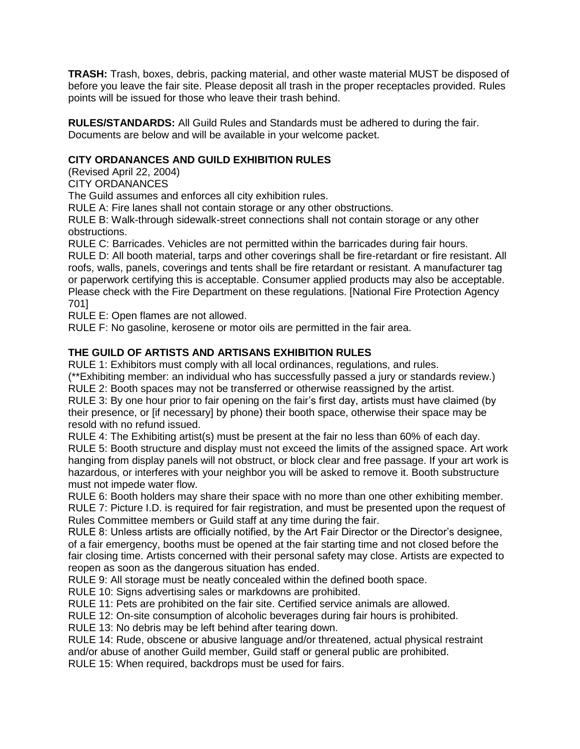**TRASH:** Trash, boxes, debris, packing material, and other waste material MUST be disposed of before you leave the fair site. Please deposit all trash in the proper receptacles provided. Rules points will be issued for those who leave their trash behind.

**RULES/STANDARDS:** All Guild Rules and Standards must be adhered to during the fair. Documents are below and will be available in your welcome packet.

# **CITY ORDANANCES AND GUILD EXHIBITION RULES**

(Revised April 22, 2004)

CITY ORDANANCES

The Guild assumes and enforces all city exhibition rules.

RULE A: Fire lanes shall not contain storage or any other obstructions.

RULE B: Walk-through sidewalk-street connections shall not contain storage or any other obstructions.

RULE C: Barricades. Vehicles are not permitted within the barricades during fair hours.

RULE D: All booth material, tarps and other coverings shall be fire-retardant or fire resistant. All roofs, walls, panels, coverings and tents shall be fire retardant or resistant. A manufacturer tag or paperwork certifying this is acceptable. Consumer applied products may also be acceptable. Please check with the Fire Department on these regulations. [National Fire Protection Agency 701]

RULE E: Open flames are not allowed.

RULE F: No gasoline, kerosene or motor oils are permitted in the fair area.

# **THE GUILD OF ARTISTS AND ARTISANS EXHIBITION RULES**

RULE 1: Exhibitors must comply with all local ordinances, regulations, and rules.

(\*\*Exhibiting member: an individual who has successfully passed a jury or standards review.) RULE 2: Booth spaces may not be transferred or otherwise reassigned by the artist.

RULE 3: By one hour prior to fair opening on the fair's first day, artists must have claimed (by their presence, or [if necessary] by phone) their booth space, otherwise their space may be resold with no refund issued.

RULE 4: The Exhibiting artist(s) must be present at the fair no less than 60% of each day. RULE 5: Booth structure and display must not exceed the limits of the assigned space. Art work hanging from display panels will not obstruct, or block clear and free passage. If your art work is hazardous, or interferes with your neighbor you will be asked to remove it. Booth substructure must not impede water flow.

RULE 6: Booth holders may share their space with no more than one other exhibiting member. RULE 7: Picture I.D. is required for fair registration, and must be presented upon the request of Rules Committee members or Guild staff at any time during the fair.

RULE 8: Unless artists are officially notified, by the Art Fair Director or the Director's designee, of a fair emergency, booths must be opened at the fair starting time and not closed before the fair closing time. Artists concerned with their personal safety may close. Artists are expected to reopen as soon as the dangerous situation has ended.

RULE 9: All storage must be neatly concealed within the defined booth space.

RULE 10: Signs advertising sales or markdowns are prohibited.

RULE 11: Pets are prohibited on the fair site. Certified service animals are allowed.

RULE 12: On-site consumption of alcoholic beverages during fair hours is prohibited.

RULE 13: No debris may be left behind after tearing down.

RULE 14: Rude, obscene or abusive language and/or threatened, actual physical restraint

and/or abuse of another Guild member, Guild staff or general public are prohibited.

RULE 15: When required, backdrops must be used for fairs.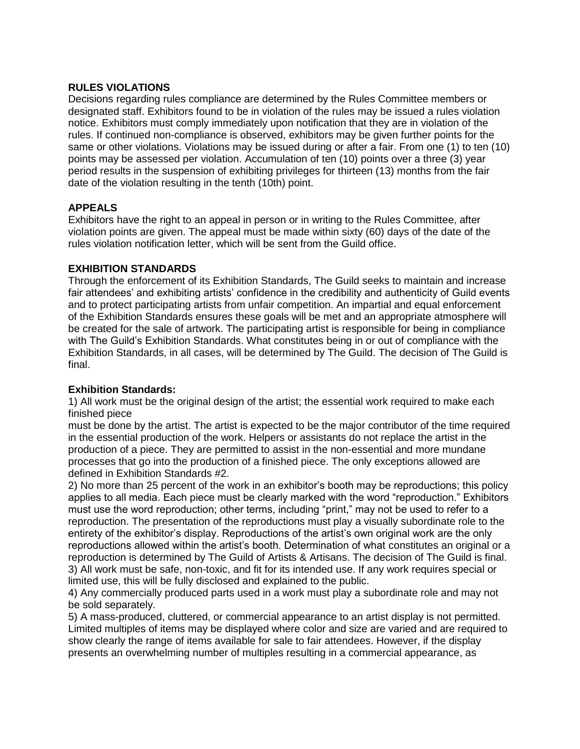#### **RULES VIOLATIONS**

Decisions regarding rules compliance are determined by the Rules Committee members or designated staff. Exhibitors found to be in violation of the rules may be issued a rules violation notice. Exhibitors must comply immediately upon notification that they are in violation of the rules. If continued non-compliance is observed, exhibitors may be given further points for the same or other violations. Violations may be issued during or after a fair. From one (1) to ten (10) points may be assessed per violation. Accumulation of ten (10) points over a three (3) year period results in the suspension of exhibiting privileges for thirteen (13) months from the fair date of the violation resulting in the tenth (10th) point.

# **APPEALS**

Exhibitors have the right to an appeal in person or in writing to the Rules Committee, after violation points are given. The appeal must be made within sixty (60) days of the date of the rules violation notification letter, which will be sent from the Guild office.

#### **EXHIBITION STANDARDS**

Through the enforcement of its Exhibition Standards, The Guild seeks to maintain and increase fair attendees' and exhibiting artists' confidence in the credibility and authenticity of Guild events and to protect participating artists from unfair competition. An impartial and equal enforcement of the Exhibition Standards ensures these goals will be met and an appropriate atmosphere will be created for the sale of artwork. The participating artist is responsible for being in compliance with The Guild's Exhibition Standards. What constitutes being in or out of compliance with the Exhibition Standards, in all cases, will be determined by The Guild. The decision of The Guild is final.

# **Exhibition Standards:**

1) All work must be the original design of the artist; the essential work required to make each finished piece

must be done by the artist. The artist is expected to be the major contributor of the time required in the essential production of the work. Helpers or assistants do not replace the artist in the production of a piece. They are permitted to assist in the non-essential and more mundane processes that go into the production of a finished piece. The only exceptions allowed are defined in Exhibition Standards #2.

2) No more than 25 percent of the work in an exhibitor's booth may be reproductions; this policy applies to all media. Each piece must be clearly marked with the word "reproduction." Exhibitors must use the word reproduction; other terms, including "print," may not be used to refer to a reproduction. The presentation of the reproductions must play a visually subordinate role to the entirety of the exhibitor's display. Reproductions of the artist's own original work are the only reproductions allowed within the artist's booth. Determination of what constitutes an original or a reproduction is determined by The Guild of Artists & Artisans. The decision of The Guild is final. 3) All work must be safe, non-toxic, and fit for its intended use. If any work requires special or limited use, this will be fully disclosed and explained to the public.

4) Any commercially produced parts used in a work must play a subordinate role and may not be sold separately.

5) A mass-produced, cluttered, or commercial appearance to an artist display is not permitted. Limited multiples of items may be displayed where color and size are varied and are required to show clearly the range of items available for sale to fair attendees. However, if the display presents an overwhelming number of multiples resulting in a commercial appearance, as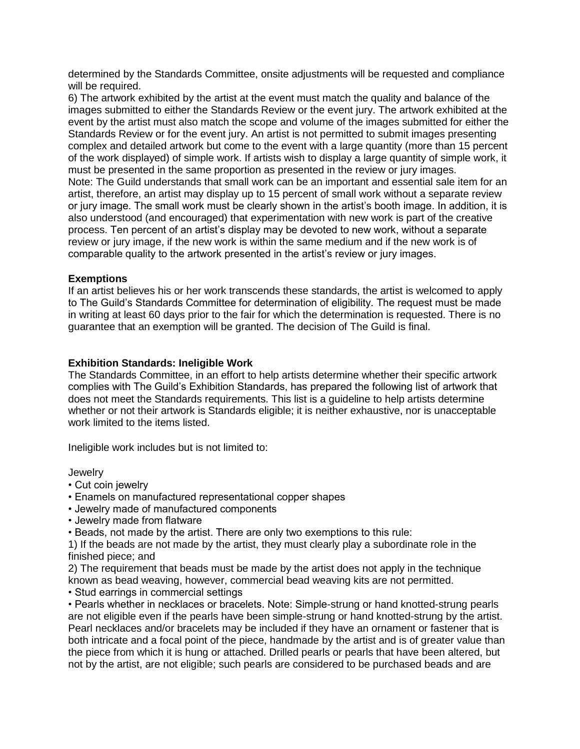determined by the Standards Committee, onsite adjustments will be requested and compliance will be required.

6) The artwork exhibited by the artist at the event must match the quality and balance of the images submitted to either the Standards Review or the event jury. The artwork exhibited at the event by the artist must also match the scope and volume of the images submitted for either the Standards Review or for the event jury. An artist is not permitted to submit images presenting complex and detailed artwork but come to the event with a large quantity (more than 15 percent of the work displayed) of simple work. If artists wish to display a large quantity of simple work, it must be presented in the same proportion as presented in the review or jury images. Note: The Guild understands that small work can be an important and essential sale item for an artist, therefore, an artist may display up to 15 percent of small work without a separate review or jury image. The small work must be clearly shown in the artist's booth image. In addition, it is also understood (and encouraged) that experimentation with new work is part of the creative process. Ten percent of an artist's display may be devoted to new work, without a separate review or jury image, if the new work is within the same medium and if the new work is of comparable quality to the artwork presented in the artist's review or jury images.

#### **Exemptions**

If an artist believes his or her work transcends these standards, the artist is welcomed to apply to The Guild's Standards Committee for determination of eligibility. The request must be made in writing at least 60 days prior to the fair for which the determination is requested. There is no guarantee that an exemption will be granted. The decision of The Guild is final.

#### **Exhibition Standards: Ineligible Work**

The Standards Committee, in an effort to help artists determine whether their specific artwork complies with The Guild's Exhibition Standards, has prepared the following list of artwork that does not meet the Standards requirements. This list is a guideline to help artists determine whether or not their artwork is Standards eligible; it is neither exhaustive, nor is unacceptable work limited to the items listed.

Ineligible work includes but is not limited to:

**Jewelry** 

- Cut coin jewelry
- Enamels on manufactured representational copper shapes
- Jewelry made of manufactured components
- Jewelry made from flatware
- Beads, not made by the artist. There are only two exemptions to this rule:

1) If the beads are not made by the artist, they must clearly play a subordinate role in the finished piece; and

2) The requirement that beads must be made by the artist does not apply in the technique known as bead weaving, however, commercial bead weaving kits are not permitted.

• Stud earrings in commercial settings

• Pearls whether in necklaces or bracelets. Note: Simple-strung or hand knotted-strung pearls are not eligible even if the pearls have been simple-strung or hand knotted-strung by the artist. Pearl necklaces and/or bracelets may be included if they have an ornament or fastener that is both intricate and a focal point of the piece, handmade by the artist and is of greater value than the piece from which it is hung or attached. Drilled pearls or pearls that have been altered, but not by the artist, are not eligible; such pearls are considered to be purchased beads and are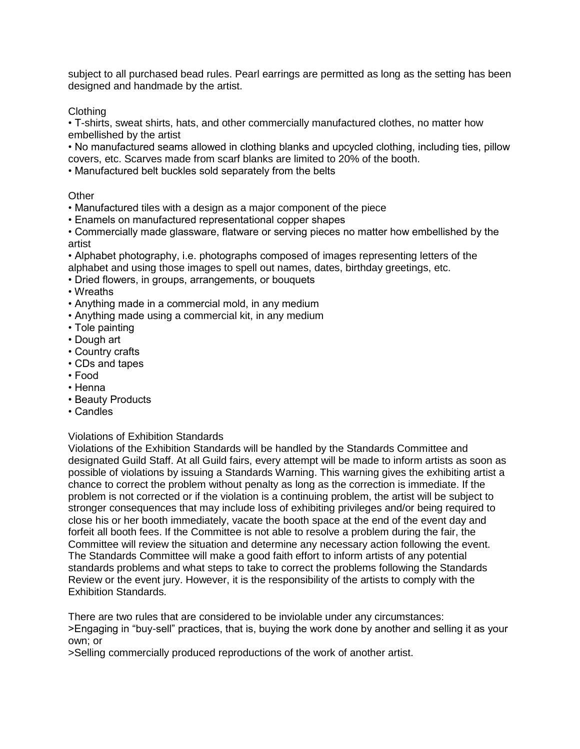subject to all purchased bead rules. Pearl earrings are permitted as long as the setting has been designed and handmade by the artist.

# Clothing

• T-shirts, sweat shirts, hats, and other commercially manufactured clothes, no matter how embellished by the artist

• No manufactured seams allowed in clothing blanks and upcycled clothing, including ties, pillow covers, etc. Scarves made from scarf blanks are limited to 20% of the booth.

• Manufactured belt buckles sold separately from the belts

# **Other**

- Manufactured tiles with a design as a major component of the piece
- Enamels on manufactured representational copper shapes

• Commercially made glassware, flatware or serving pieces no matter how embellished by the artist

• Alphabet photography, i.e. photographs composed of images representing letters of the alphabet and using those images to spell out names, dates, birthday greetings, etc.

• Dried flowers, in groups, arrangements, or bouquets

• Wreaths

• Anything made in a commercial mold, in any medium

- Anything made using a commercial kit, in any medium
- Tole painting
- Dough art
- Country crafts
- CDs and tapes
- Food
- Henna
- Beauty Products
- Candles

# Violations of Exhibition Standards

Violations of the Exhibition Standards will be handled by the Standards Committee and designated Guild Staff. At all Guild fairs, every attempt will be made to inform artists as soon as possible of violations by issuing a Standards Warning. This warning gives the exhibiting artist a chance to correct the problem without penalty as long as the correction is immediate. If the problem is not corrected or if the violation is a continuing problem, the artist will be subject to stronger consequences that may include loss of exhibiting privileges and/or being required to close his or her booth immediately, vacate the booth space at the end of the event day and forfeit all booth fees. If the Committee is not able to resolve a problem during the fair, the Committee will review the situation and determine any necessary action following the event. The Standards Committee will make a good faith effort to inform artists of any potential standards problems and what steps to take to correct the problems following the Standards Review or the event jury. However, it is the responsibility of the artists to comply with the Exhibition Standards.

There are two rules that are considered to be inviolable under any circumstances: >Engaging in "buy-sell" practices, that is, buying the work done by another and selling it as your own; or

>Selling commercially produced reproductions of the work of another artist.